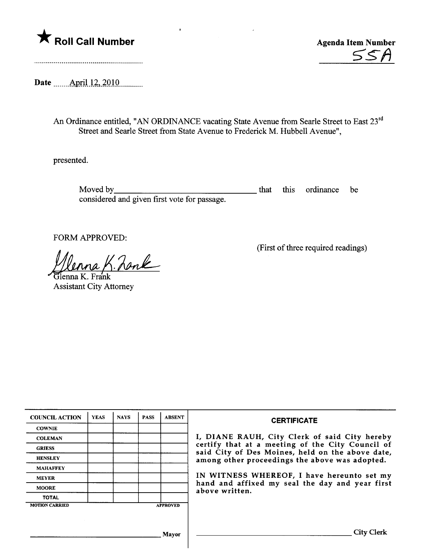

<u>55A</u>

Date \_\_\_\_\_\_ April 12, 2010.............

An Ordinance entitled, "AN ORDINANCE vacating State Avenue from Searle Street to East 23rd Street and Searle Street from State Avenue to Frederick M. Hubbell Avenue",

presented.

Moved by **Exercise** considered and given first vote for passage. that this ordinance be

FORM APPROVED:

na K. Zank

**Assistant City Attorney** 

(First of three required readings)

| <b>COUNCIL ACTION</b> | <b>YEAS</b> | <b>NAYS</b> | <b>PASS</b> | <b>ABSENT</b>   | <b>CERTIFICATE</b>                                                                                                                                                                                                                                                                                                         |
|-----------------------|-------------|-------------|-------------|-----------------|----------------------------------------------------------------------------------------------------------------------------------------------------------------------------------------------------------------------------------------------------------------------------------------------------------------------------|
| <b>COWNIE</b>         |             |             |             |                 | I, DIANE RAUH, City Clerk of said City hereby<br>certify that at a meeting of the City Council of<br>said City of Des Moines, held on the above date,<br>among other proceedings the above was adopted.<br>IN WITNESS WHEREOF, I have hereunto set my<br>hand and affixed my seal the day and year first<br>above written. |
| <b>COLEMAN</b>        |             |             |             |                 |                                                                                                                                                                                                                                                                                                                            |
| <b>GRIESS</b>         |             |             |             |                 |                                                                                                                                                                                                                                                                                                                            |
| <b>HENSLEY</b>        |             |             |             |                 |                                                                                                                                                                                                                                                                                                                            |
| <b>MAHAFFEY</b>       |             |             |             |                 |                                                                                                                                                                                                                                                                                                                            |
| <b>MEYER</b>          |             |             |             |                 |                                                                                                                                                                                                                                                                                                                            |
| <b>MOORE</b>          |             |             |             |                 |                                                                                                                                                                                                                                                                                                                            |
| <b>TOTAL</b>          |             |             |             |                 |                                                                                                                                                                                                                                                                                                                            |
| <b>MOTION CARRIED</b> |             |             |             | <b>APPROVED</b> |                                                                                                                                                                                                                                                                                                                            |
|                       |             |             |             |                 |                                                                                                                                                                                                                                                                                                                            |
|                       |             |             |             |                 |                                                                                                                                                                                                                                                                                                                            |
| Mayor                 |             |             |             |                 | City                                                                                                                                                                                                                                                                                                                       |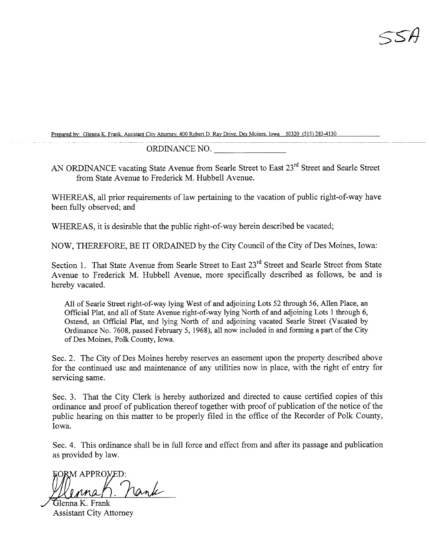Prepared by: Glenna K. Frank, Assistant City Attorney, 400 Robert D. Ray Drive, Des Moines, Iowa 50320 (515) 283-4130

ORDINANCE NO.

AN ORDINANCE vacating State Avenue from Searle Street to East 23<sup>rd</sup> Street and Searle Street from State Avenue to Frederick M. Hubbell Avenue.

WHEREAS, all prior requirements of law pertaining to the vacation of public right-of-way have been fully observed; and

WHEREAS, it is desirable that the public right-of-way herein described be vacated;

NOW, THEREFORE, BE IT ORDAINED by the City Council of the City of Des Moines, Iowa:

Section 1. That State Avenue from Searle Street to East 23<sup>rd</sup> Street and Searle Street from State Avenue to Frederick M. Hubbell Avenue, more specifically described as follows, be and is hereby vacated.

All of Searle Street right-of-way lying West of and adjoining Lots 52 through 56, Allen Place, an Official Plat, and all of State Avenue right-of-way lying North of and adjoining Lots 1 through 6, Ostend, an Official Plat, and lying North of and adjoining vacated Searle Street (Vacated by Ordinance No. 7608, passed February 5, 1968), all now included in and forming a part of the City of Des Moines, Polk County, Iowa.

Sec. 2. The City of Des Moines hereby reserves an easement upon the property described above for the continued use and maintenance of any utilities now in place, with the right of entry for servicing same.

Sec. 3. That the City Clerk is hereby authorized and directed to cause certified copies of ths ordinance and proof of publication thereof together with proof of publication of the notice of the public hearing on this matter to be properly filed in the office of the Recorder of Polk County, Iowa.

Sec. 4. This ordinance shall be in full force and effect from and after its passage and publication as provided by law.

FORM APPROVEI

Glenna K. Frank Assistant City Attorney